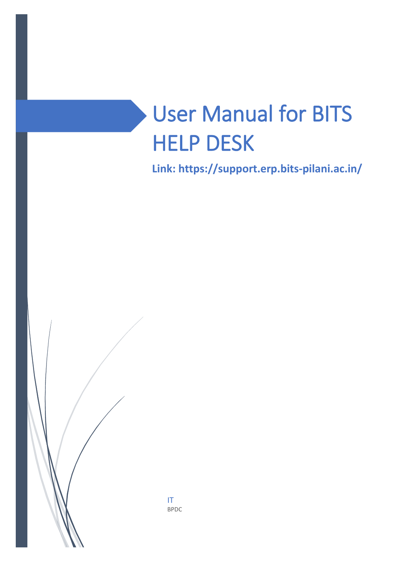# User Manual for BITS HELP DESK

**Link: https://support.erp.bits-pilani.ac.in/**



IT BPDC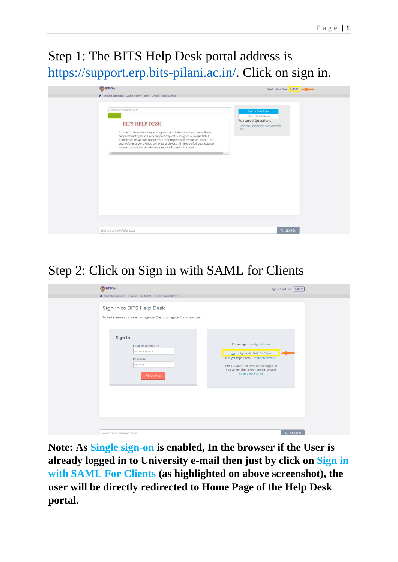### Step 1: The BITS Help Desk portal address is [https://support.erp.bits-pilani.ac.in/.](https://support.erp.bits-pilani.ac.in/) Click on sign in.



## Step 2: Click on Sign in with SAML for Clients



**Note: As Single sign-on is enabled, In the browser if the User is already logged in to University e-mail then just by click on Sign in with SAML For Clients (as highlighted on above screenshot), the user will be directly redirected to Home Page of the Help Desk portal.**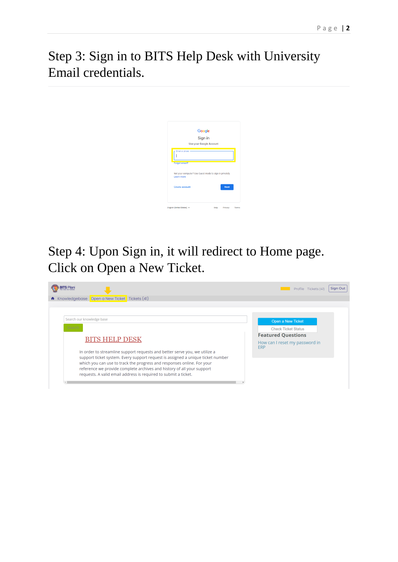Step 3: Sign in to BITS Help Desk with University Email credentials.



## Step 4: Upon Sign in, it will redirect to Home page. Click on Open a New Ticket.

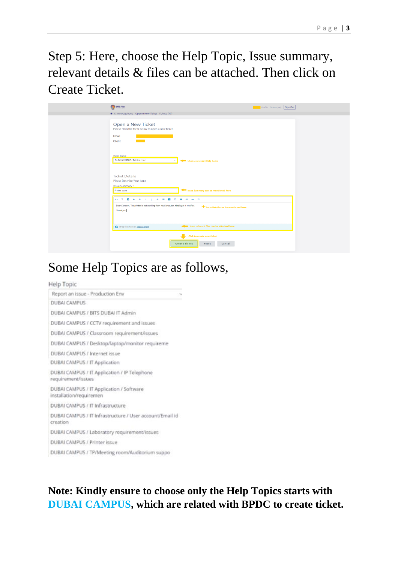Step 5: Here, choose the Help Topic, Issue summary, relevant details & files can be attached. Then click on Create Ticket.

| <b>BITS Plan</b>                                                                                  | Profile Tickets (40) Sign Out           |  |
|---------------------------------------------------------------------------------------------------|-----------------------------------------|--|
| * Knowledgebase Open a New Ticket Tickets (40)                                                    |                                         |  |
|                                                                                                   |                                         |  |
| Open a New Ticket<br>Please fill in the form below to open a new ticket.                          |                                         |  |
| Email<br>Client                                                                                   |                                         |  |
|                                                                                                   |                                         |  |
| <b>Help Topic</b><br>DUBAI CAMPUS / Printer issue<br>$\sim$                                       | <a>Choose relevant Help Topic</a>       |  |
| <b>Ticket Details</b>                                                                             |                                         |  |
| Please Describe Your Issue                                                                        |                                         |  |
| <b>Issue Summary *</b>                                                                            |                                         |  |
| Printer Issue                                                                                     | Issue Summary can be mentioned here     |  |
| <b>○ 1 8 4 8 7 2 5 2 8 回 日 ○ 一 与</b>                                                              |                                         |  |
| Dear Concern, The printer is not working from my Computer. Kindly get it rectified.<br>Thank you. | Issue Details can be mentioned here     |  |
|                                                                                                   |                                         |  |
| Or op files here or choose them                                                                   | sue relevant files can be attached here |  |
| J.                                                                                                | Click to create new ticket              |  |
| <b>Create Ticket</b>                                                                              | Reset<br>Cancel                         |  |

#### Some Help Topics are as follows,

#### Help Topic



#### **Note: Kindly ensure to choose only the Help Topics starts with DUBAI CAMPUS, which are related with BPDC to create ticket.**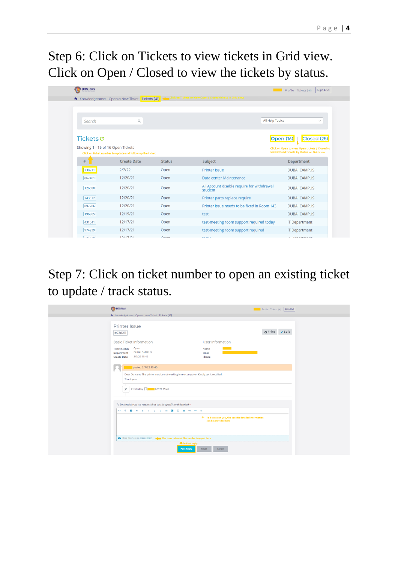Step 6: Click on Tickets to view tickets in Grid view. Click on Open / Closed to view the tickets by status.

| <b>BITS Pilani</b>                |                                                           |                  |                                                            | Sign Out<br>Profile Tickets (41)               |
|-----------------------------------|-----------------------------------------------------------|------------------|------------------------------------------------------------|------------------------------------------------|
|                                   | <b>A</b> Knowledgebase Open a New Ticket Tickets (41)     |                  | :k on Tickets to view Open / Closed tickets in Grid view - |                                                |
|                                   |                                                           |                  |                                                            |                                                |
|                                   |                                                           |                  |                                                            |                                                |
| Search                            | $\mathbb{Q}$                                              |                  | All Help Topics                                            | $\checkmark$                                   |
|                                   |                                                           |                  |                                                            |                                                |
| Tickets C                         |                                                           |                  |                                                            | Closed (25)<br><b>Open (16)</b>                |
| Showing 1 - 16 of 16 Open Tickets |                                                           |                  |                                                            | Click on Open to view Open tickets / Closed to |
|                                   | Click on ticket number to update and follow up the ticket |                  |                                                            | view Closed tickets by Status on Grid view     |
| #                                 | <b>Create Date</b>                                        | <b>Status</b>    | Subject                                                    | Department                                     |
| 738211                            | 2/7/22                                                    | Open             | <b>Printer Issue</b>                                       | <b>DUBAI CAMPUS</b>                            |
| 867461                            | 12/20/21                                                  | Open             | Data center Maintenance                                    | <b>DUBAI CAMPUS</b>                            |
| 126588                            | 12/20/21                                                  | Open             | All Account disable require for withdrawal<br>student      | <b>DUBAI CAMPUS</b>                            |
| 743372                            | 12/20/21                                                  | Open             | Printer parts replace require                              | <b>DUBAI CAMPUS</b>                            |
| 897706                            | 12/20/21                                                  | Open             | Printer issue needs to be fixed in Room 143                | <b>DUBAI CAMPUS</b>                            |
| 196965                            | 12/19/21                                                  | Open             | test                                                       | <b>DUBAI CAMPUS</b>                            |
| 431341                            | 12/17/21                                                  | Open             | test-meeting room support required today                   | <b>IT Department</b>                           |
| 974239                            | 12/17/21                                                  | Open             | test-meeting room support required                         | <b>IT Department</b>                           |
| 0.71070                           | 12117121                                                  | 0 <sub>max</sub> | $1 - 10$                                                   | <b>IT Department</b>                           |

Step 7: Click on ticket number to open an existing ticket to update / track status.

| <b>BITS Pilari</b>                                                                                                                                                | <b>Contract</b>                                                               | Profile Tickets (41) Sign Out |
|-------------------------------------------------------------------------------------------------------------------------------------------------------------------|-------------------------------------------------------------------------------|-------------------------------|
| * Knowledgebase Open a New Ticket Tickets (41)                                                                                                                    |                                                                               |                               |
| <b>Printer Issue</b><br>#738211                                                                                                                                   |                                                                               | $\bigoplus$ Print / Edit      |
| <b>Basic Ticket Information</b>                                                                                                                                   | User Information                                                              |                               |
| Open<br><b>Ticket Status</b><br><b>DUBAI CAMPUS</b><br>Department<br>2/7/22 15:40<br><b>Create Date</b>                                                           | Name<br>Email<br>Phone                                                        |                               |
| posted 2/7/22 15:40<br>Dear Concern, The printer service not working in my computer. Kindly get it rectified.<br>Thank you.<br>→ Created by <b>4</b> 2/7/22 15:40 |                                                                               |                               |
| To best assist you, we request that you be specific and detailed *                                                                                                |                                                                               |                               |
| <b>○ 1 0 △ 8 / U &amp; 三 团 ① 目 ∞ 一 与</b>                                                                                                                          |                                                                               |                               |
|                                                                                                                                                                   | To best assist you, the specific detailed information<br>can be provided here |                               |
| On Drop files here or choose them The issue relevent files can be dropped here                                                                                    |                                                                               |                               |
| To Post reply<br><b>Post Reply</b>                                                                                                                                | Cancel<br>Reset                                                               |                               |